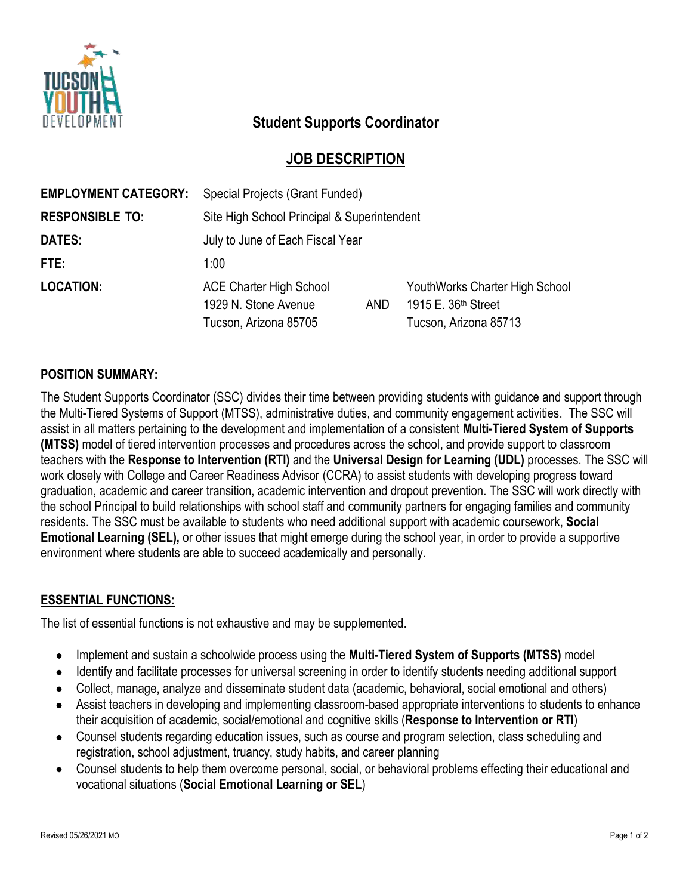

# **Student Supports Coordinator**

### **JOB DESCRIPTION**

| Site High School Principal & Superintendent            |                       |                                                                                            |
|--------------------------------------------------------|-----------------------|--------------------------------------------------------------------------------------------|
|                                                        |                       |                                                                                            |
| July to June of Each Fiscal Year                       |                       |                                                                                            |
| 1:00                                                   |                       |                                                                                            |
| <b>ACE Charter High School</b><br>1929 N. Stone Avenue |                       | YouthWorks Charter High School<br>1915 E. 36 <sup>th</sup> Street<br>Tucson, Arizona 85713 |
|                                                        | Tucson, Arizona 85705 | AND.                                                                                       |

#### **POSITION SUMMARY:**

The Student Supports Coordinator (SSC) divides their time between providing students with guidance and support through the Multi-Tiered Systems of Support (MTSS), administrative duties, and community engagement activities. The SSC will assist in all matters pertaining to the development and implementation of a consistent **Multi-Tiered System of Supports (MTSS)** model of tiered intervention processes and procedures across the school, and provide support to classroom teachers with the **Response to Intervention (RTI)** and the **Universal Design for Learning (UDL)** processes. The SSC will work closely with College and Career Readiness Advisor (CCRA) to assist students with developing progress toward graduation, academic and career transition, academic intervention and dropout prevention. The SSC will work directly with the school Principal to build relationships with school staff and community partners for engaging families and community residents. The SSC must be available to students who need additional support with academic coursework, **Social Emotional Learning (SEL),** or other issues that might emerge during the school year, in order to provide a supportive environment where students are able to succeed academically and personally.

#### **ESSENTIAL FUNCTIONS:**

The list of essential functions is not exhaustive and may be supplemented.

- Implement and sustain a schoolwide process using the **Multi-Tiered System of Supports (MTSS)** model
- Identify and facilitate processes for universal screening in order to identify students needing additional support
- Collect, manage, analyze and disseminate student data (academic, behavioral, social emotional and others)
- Assist teachers in developing and implementing classroom-based appropriate interventions to students to enhance their acquisition of academic, social/emotional and cognitive skills (**Response to Intervention or RTI**)
- Counsel students regarding education issues, such as course and program selection, class scheduling and registration, school adjustment, truancy, study habits, and career planning
- Counsel students to help them overcome personal, social, or behavioral problems effecting their educational and vocational situations (**Social Emotional Learning or SEL**)